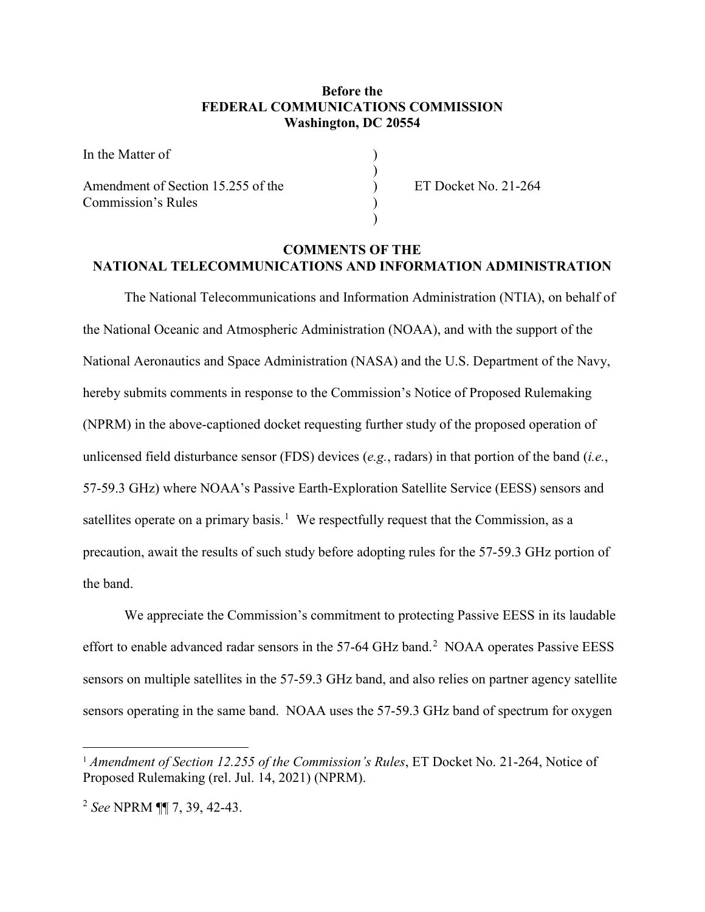## **Before the FEDERAL COMMUNICATIONS COMMISSION Washington, DC 20554**

)

)

In the Matter of Amendment of Section 15.255 of the  $\qquad \qquad$  ET Docket No. 21-264

Commission's Rules )

## **COMMENTS OF THE NATIONAL TELECOMMUNICATIONS AND INFORMATION ADMINISTRATION**

The National Telecommunications and Information Administration (NTIA), on behalf of the National Oceanic and Atmospheric Administration (NOAA), and with the support of the National Aeronautics and Space Administration (NASA) and the U.S. Department of the Navy, hereby submits comments in response to the Commission's Notice of Proposed Rulemaking (NPRM) in the above-captioned docket requesting further study of the proposed operation of unlicensed field disturbance sensor (FDS) devices (*e.g.*, radars) in that portion of the band (*i.e.*, 57-59.3 GHz) where NOAA's Passive Earth-Exploration Satellite Service (EESS) sensors and satellites operate on a primary basis.<sup>1</sup> We respectfully request that the Commission, as a precaution, await the results of such study before adopting rules for the 57-59.3 GHz portion of the band.

We appreciate the Commission's commitment to protecting Passive EESS in its laudable effort to enable advanced radar sensors in the 57-64 GHz band.<sup>2</sup> NOAA operates Passive EESS sensors on multiple satellites in the 57-59.3 GHz band, and also relies on partner agency satellite sensors operating in the same band. NOAA uses the 57-59.3 GHz band of spectrum for oxygen

<sup>&</sup>lt;sup>1</sup> Amendment of Section 12.255 of the Commission's Rules, ET Docket No. 21-264, Notice of Proposed Rulemaking (rel. Jul. 14, 2021) (NPRM).

<sup>2</sup> *See* NPRM ¶¶ 7, 39, 42-43.